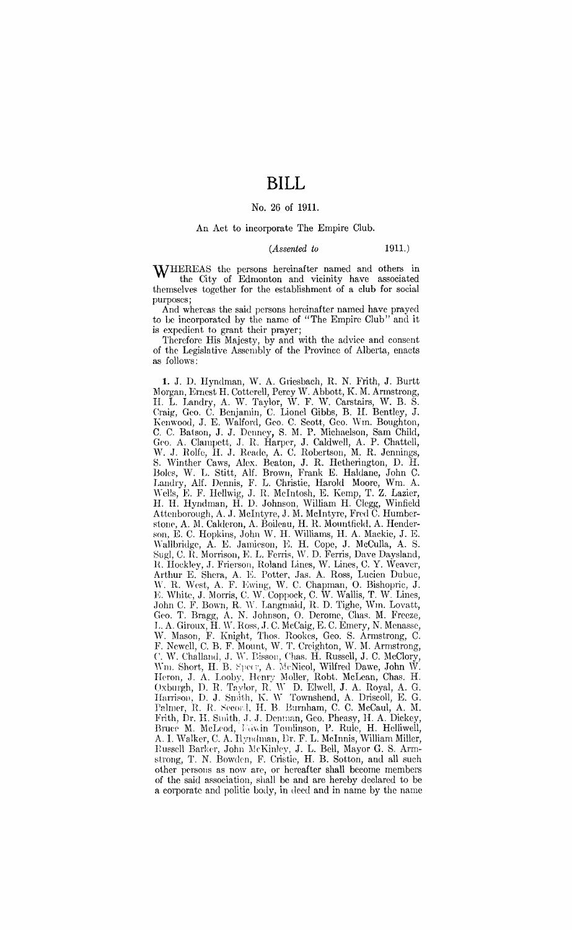# **BILL**

### No. 26 of 1911.

## An Act to incorporate The Empire Club.

### *(Assented to* 1911.)

WHEREAS the persons hereinafter named and others in the City of Edmonton and vicinity have associated themselves together for the establishment of a club for social purposes;

And whereas the said persons hereinafter named have prayed to be incorporated by the name of "The Empire Club" and it is expedient to grant their prayer;

Therefore His Majesty, by and with the advice and consent of the Legislative Assembly of the Province of Alberta, enacts as follows:

1. J. D. Hyndman, W. A. Griesbach, R. N. Frith, J. Burtt Morgan, Ernest H. Cotterell, Percy W. Abbott, K. M. Armstrong, II. L. Landry, A. W. Taylor, W. F. W. Carstairs, W. B. S. Craig, Gco. C. Benjamin, C. Lionel Gibbs, B. H. Bentley, J. Kenwood, J. E. Walford, Geo. C. Scott, Geo. Wm. Boughton, C. C. Batson, J. J. Denney, S. M. P. Michaelson, Sam Child, Geo. A. Clampett, J. R. Harper, J. Caldwell, A. P. Chattell, W. J. Rolfe, H. J. Reade, A. C. Robertson, M. R. Jennings, S. Winther Caws, Alex. Beaton, J. R. Hetherington, D. H. Boles, W. L. Stitt, Alf. Brown, Frank E. Haldane, John C. Landry, Alf. Dennis, F. L. Christie, Harold Moore, Wm. A. \\'ells, K F. Hellwig, J. R. Mcintosh, E. Kemp, T. Z. Lazier, H. H. Hyndman, H. D. Johnson, William H. Clegg, Winfield Attenborough, A. J. McIntyre, J. M. McIntyre, Fred C. Humberstone, A. M. Calderon, A. Boileau, H. R. Mountfield, A. Henderson, E. C. Hopkins, John W. H. Williams, H. A. Mackie, J. E. Wallbridge, A. E. Jamieson, E. H. Cope, J. McCulla, A. S. Sugl, *C.* R. Morrison, E. L. Ferris, W. D. Ferris, Dave Daysland, R. Hockley, J. Frierson, Roland Lines, W. Lines, C. Y. Weaver, Arthur E. Shera, A. E. Potter, Jas. A. Ross, Lucien Dubuc, W. R. West, A. F. Ewing, W. C. Chapman, O. Bishopric, J. E. White, J. Morris, C. W. Coppock, C. W. Wallis, T. W. Lines, .John C. F. Bown, R. IY. Langmaid, R. D. Tighe, Wm. Lovatt, Geo. T. Bragg, A. N .. Johnson, 0. Derome, Chas. M. Freeze, L. A. Giroux, H. W. Ross, J. C. McCaig, E. C. Emery, N. Menasse, W. Mason, F. Knight, Thos. Rookes, Geo. S. Armstrong, C. F. Newell, C. B. F. Mount, W. T. Creighton, W. M. Armstrong, *C. W. Challand, J. W. Bisson, Chas. H. Russell, J. C. McClory,* Wm. Short, H. B. Specr, A. McNicol, Wilfred Dawe, John W. Heron, J. A. Looby, Henry Moller, Robt. McLean, Chas. H. Oxburgh, D. R. Taylor, R. W. D. Elwell, J. A. Royal, A. G. Harrison, D. J. Smith, K. W. Townshend, A. Driscoll, E. G. Palmer, R. R. Secord, H. B. Burnham, C. C. McCaul, A. M. Frith, Dr. H. Smith, J. J. Denman, Geo. Pheasy, H. A. Dickey, Bruee M. McLeod, Fawin Tomlinson, P. Rule, H. Helliwell, A. I. Walker, C. A. Hyndman, Dr. F. L. McInnis, William Miller, Russell Barkcr, John McKinley, J. L. Bell, Mayor G. S. Armstrong, T. N. Bowden, F. Cristie, H. B. Sotton, and all such other persons as now are, or hereafter shall become members of the said association, shall be and are hereby declared to be a corporate and politic body, in deed and in name by the name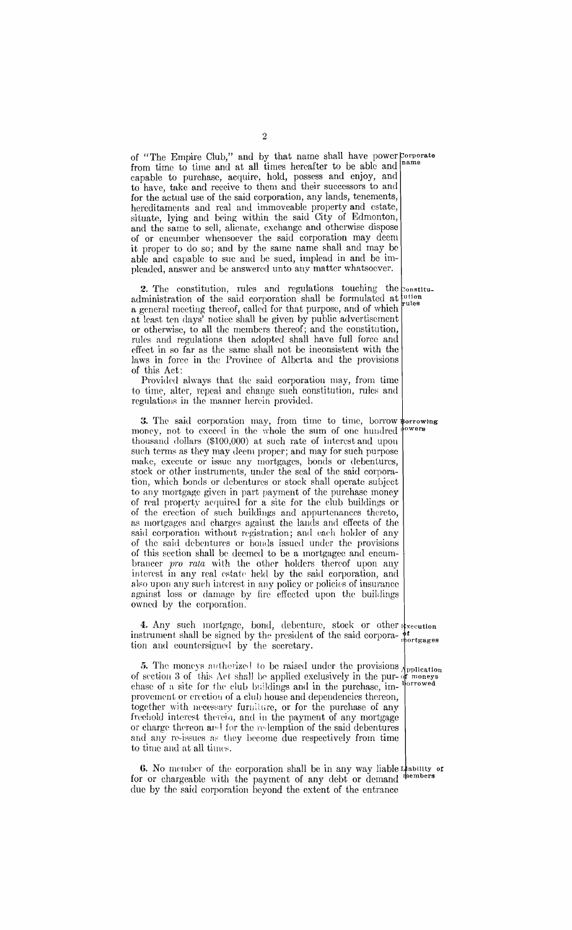of "The Empire Club," and by that name shall have power Corporate from time to time and at all times hereafter to be able and capable to purchase, acquire, hold, possess and enjoy, and to have, take and receive to them and their successors to and for the actual use of the said corporation, any lands, tenements, hereditaments and real and immoveable property and estate, situate, lying and being within the said  $City$  of Edmonton, and the same to sell, alienate, exchange and otherwise dispose of or encumber whensoever the said corporation may deem it proper to do so; and by the same name shall and may be able and capable to sue and be sued, implead in and be impleaded, answer and *be* answered unto any matter whatsoever.

2. The constitution, rules and regulations touching the  $_{\text{constitu}}$ administration of the said corporation shall be formulated at  $\mu_{\text{ules}}$ a general meeting thereof, called for that purpose, and of which at least ten days' notice shall be given by public advertisement or otherwise, to all the members thereof; and the constitution, rules and regulations then adopted shall have full force and effect in so far as the same shall not be inconsistent with the laws in force in the Province of Alberta and the provisions of this Act:

Providcd always that the said corporation may, from time to time, alter, repeal and change such constitution, rules and regulations in the manner herein provided.

3. The said corporation may, from time to time, borrow porrowing money, not to exceed in the whole the sum of one hundred <sup>1</sup> thousand dollars (\$100,000) at such rate of interest and upon sueh terms as they may deem proper; and may for such purpose make, execute or issue any mortgages, bonds or debentures, stock or other instruments, under the seal of the said corporation, which bonds or debentures or stock shall operate subject to any mortgage given in part payment of the purchase money of real property acquired for a site for the dub buildings or of the erection of such buildings and appurtenances thereto, as mortgages and charges against the lands and effects of the said corporation without registration; and each holder of any of the said debentures or bonds issued under the provisions of this section shall be deemed to be a mortgagee and encumbrancer *pro rata* with the other holders thereof upon any interest in any real estate held by the said corporation, and also upon any such interest in any policy or policies of insurance against loss or damage by fire effected upon the buildings owned by the corporation.

4. Any such mortgage, bond, debenture, stock or other *xecution* instrument shall be signed by the president of the said corpora-  $\phi$ <sup>*t*</sup> the secretary.

5. The moneys authorized to be raised under the provisions prolection 3. The moneys accuracy to be reacted interesting in the pur- of moneys of section 3 of this Act shall be applied exclusively in the pur- of moneys chase of a site for the club buildings and in the purchase, improvement or crection of a club house and dependencies thereon, together with necessary furniture, or for the purchase of any freehold interest thereia, and in the payment of any mortgage or charge thereon and for the redemption of the said debentures and any re-issues as they become due respectively from time to time and at all times.

6. No member of the corporation shall be in any way liable for or chargeable with the payment of any debt or demand due by the said corporation beyond the extent of the entrance ability of<br>uembers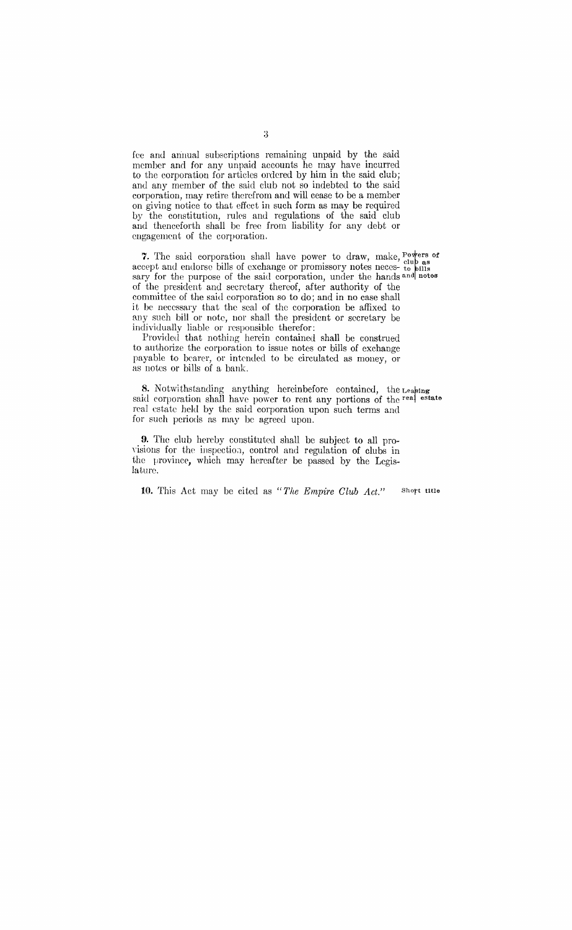fee and annual subscriptions remaining unpaid by the said member and for any unpaid accounts he may have incurred to the corporation for articles ordered by him in the said club; and any member of the said club not so indebted to the said corporation, may retire therefrom and will cease to be a member on giving notice to that effect in such form as may be required by the constitution, rules and regulations of the said club and thenceforth shall be free from liability for any debt or engagement of the corporation.

7. The said corporation shall have power to draw, make,  $P^{\text{overs of}}$ accept and endorse bills of exchange or promissory notes neces- to bills<br>sary for the purpose of the said corporation, under the hands and notes of the president and secretary thereof, after authority of the committee of the said corporation so to do; and in no case shall it be necessary that the seal of the corporation be affixed to any such bill or note, nor shall the president or secretary be individually liable or responsible therefor:

Provided that nothing herein contained shall be construed to authorize the corporation to issue notes or bills of exchange payable to bearer, or intended to be circulated as money, or as notes or bills of a bank.

8. Notwithstanding anything hereinbefore contained, the Leasing said corporation shall have power to rent any portions of the real estate real estate held by the said corporation upon such terms and for such periods as may be agreed upon.

9. The club hereby constituted shall be subject to all provisions for the inspection, control and regulation of clubs in the province, which may hereafter be passed by the Legislature.

10. This Act may be cited as "The Empire Club Act." Short title